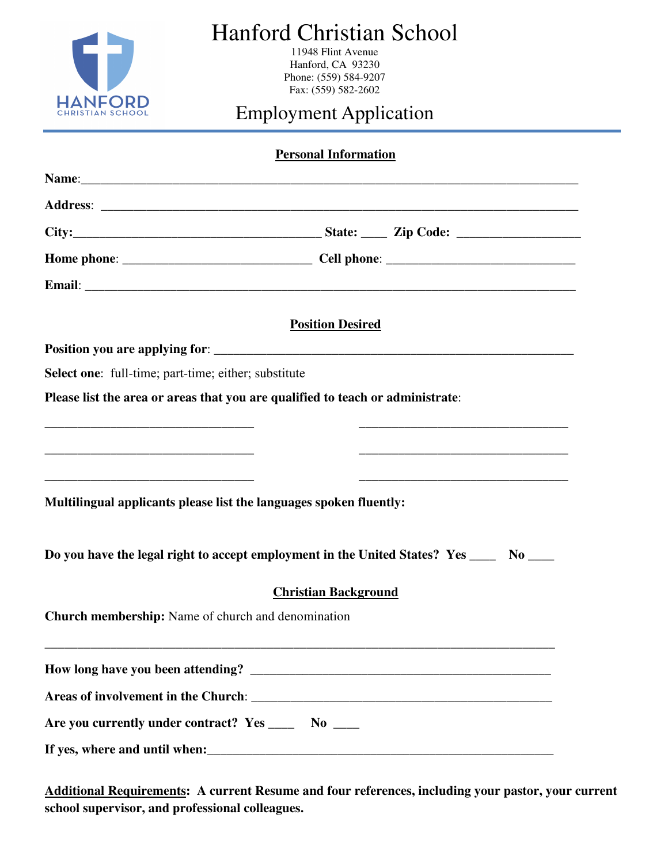

# Hanford Christian School

11948 Flint Avenue Hanford, CA 93230 Phone: (559) 584-9207 Fax: (559) 582-2602

# Employment Application

| <b>Personal Information</b>                                                            |                             |                                                                |
|----------------------------------------------------------------------------------------|-----------------------------|----------------------------------------------------------------|
|                                                                                        |                             |                                                                |
|                                                                                        |                             |                                                                |
|                                                                                        |                             |                                                                |
|                                                                                        |                             |                                                                |
| Email: <u>Financial</u>                                                                |                             |                                                                |
|                                                                                        | <b>Position Desired</b>     |                                                                |
|                                                                                        |                             |                                                                |
| <b>Select one:</b> full-time; part-time; either; substitute                            |                             |                                                                |
| Please list the area or areas that you are qualified to teach or administrate:         |                             |                                                                |
|                                                                                        |                             |                                                                |
|                                                                                        |                             |                                                                |
|                                                                                        |                             | <u> 1989 - Johann Barbara, margaret eta idazlea (h. 1989).</u> |
| Multilingual applicants please list the languages spoken fluently:                     |                             |                                                                |
| Do you have the legal right to accept employment in the United States? Yes ____ No ___ |                             |                                                                |
|                                                                                        | <b>Christian Background</b> |                                                                |
| <b>Church membership:</b> Name of church and denomination                              |                             |                                                                |
|                                                                                        |                             |                                                                |
|                                                                                        |                             |                                                                |
| Are you currently under contract? Yes ______ No ____                                   |                             |                                                                |
|                                                                                        |                             |                                                                |

**Additional Requirements: A current Resume and four references, including your pastor, your current school supervisor, and professional colleagues.**